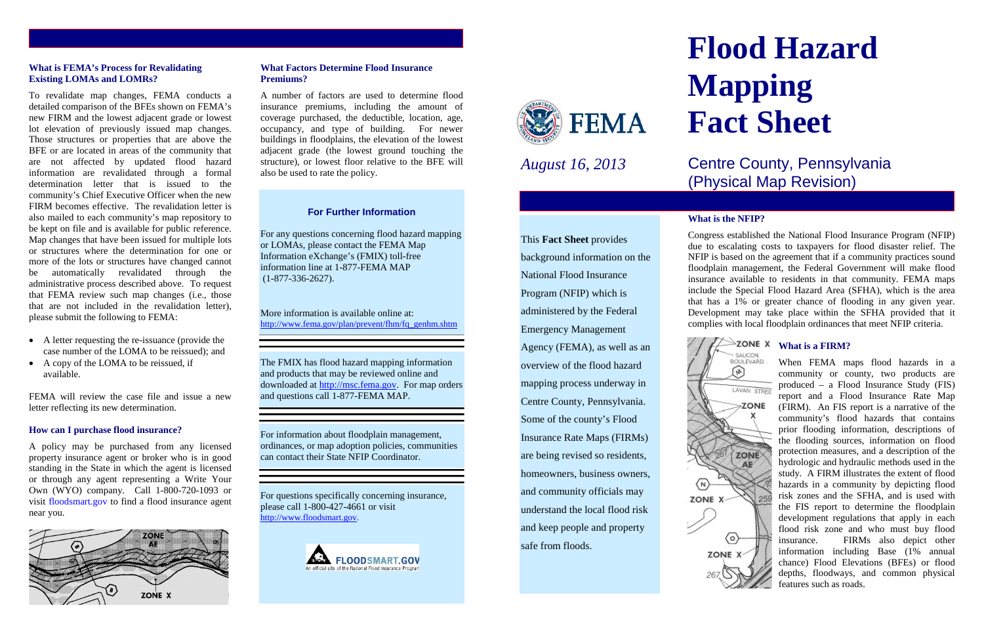#### **What is FEMA's Process for Revalidating Existing LOMAs and LOMRs?**

To revalidate map changes, FEMA conducts a detailed comparison of the BFEs shown on FEMA's new FIRM and the lowest adjacent grade or lowest lot elevation of previously issued map changes. Those structures or properties that are above the BFE or are located in areas of the community that are not affected by updated flood hazard information are revalidated through a formal determination letter that is issued to the community's Chief Executive Officer when the new FIRM becomes effective. The revalidation letter is also mailed to each community's map repository to be kept on file and is available for public reference. Map changes that have been issued for multiple lots or structures where the determination for one or more of the lots or structures have changed cannot be automatically revalidated through the administrative process described above. To request that FEMA review such map changes (i.e., those that are not included in the revalidation letter), please submit the following to FEMA:

- A letter requesting the re-issuance (provide the case number of the LOMA to be reissued); and
- A copy of the LOMA to be reissued, if available.

FEMA will review the case file and issue a new letter reflecting its new determination.

#### **How can I purchase flood insurance?**

A policy may be purchased from any licensed property insurance agent or broker who is in good standing in the State in which the agent is licensed or through any agent representing a Write Your Own (WYO) company. Call 1-800-720-1093 or visit floodsmart.gov to find a flood insurance agent near you.



# **What Factors Determine Flood Insurance Premiums?**

A number of factors are used to determine flood insurance premiums, including the amount of coverage purchased, the deductible, location, age, occupancy, and type of building. For newer buildings in floodplains, the elevation of the lowest adjacent grade (the lowest ground touching the structure), or lowest floor relative to the BFE will also be used to rate the policy.

#### **For Further Information**

For any questions concerning flood hazard mapping or LOMAs, please contact the FEMA Map Information eXchange's (FMIX) toll-free information line at 1-877-FEMA MAP (1-877-336-2627).

More information is available online at: [http://www.fema.gov/plan/prevent/fhm/fq\\_genhm.shtm](http://www.fema.gov/plan/prevent/fhm/fq_genhm.shtm)

The FMIX has flood hazard mapping information and products that may be reviewed online and downloaded at [http://msc.fema.gov.](http://msc.fema.gov/) For map orders and questions call 1-877-FEMA MAP.

For information about floodplain management, ordinances, or map adoption policies, communities can contact their State NFIP Coordinator.

For questions specifically concerning insurance, please call 1-800-427-4661 or visit [http://www.floodsmart.gov.](http://www.floodsmart.gov/)





*August 16, 2013*

This **Fact Sheet** provides

background information on the

National Flood Insurance

Program (NFIP) which is

administered by the Federal

Emergency Management

Agency (FEMA), as well as an

overview of the flood hazard

mapping process underway in

Centre County, Pennsylvania.

Some of the county's Flood

Insurance Rate Maps (FIRMs)

are being revised so residents,

homeowners, business owners,

and community officials may

understand the local flood risk

and keep people and property

safe from floods.

# **Flood Hazard Mapping Fact Sheet**

# Centre County, Pennsylvania (Physical Map Revision)

# **What is the NFIP?**





Congress established the National Flood Insurance Program (NFIP) due to escalating costs to taxpayers for flood disaster relief. The NFIP is based on the agreement that if a community practices sound floodplain management, the Federal Government will make flood insurance available to residents in that community. FEMA maps include the Special Flood Hazard Area (SFHA), which is the area that has a 1% or greater chance of flooding in any given year. Development may take place within the SFHA provided that it complies with local floodplain ordinances that meet NFIP criteria.

# **EXAMPLE What is a FIRM?**

When FEMA maps flood hazards in a community or county, two products are produced – a Flood Insurance Study (FIS) report and a Flood Insurance Rate Map (FIRM). An FIS report is a narrative of the community's flood hazards that contains prior flooding information, descriptions of the flooding sources, information on flood protection measures, and a description of the hydrologic and hydraulic methods used in the study. A FIRM illustrates the extent of flood hazards in a community by depicting flood risk zones and the SFHA, and is used with the FIS report to determine the floodplain development regulations that apply in each flood risk zone and who must buy flood insurance. FIRMs also depict other information including Base (1% annual chance) Flood Elevations (BFEs) or flood depths, floodways, and common physical features such as roads.